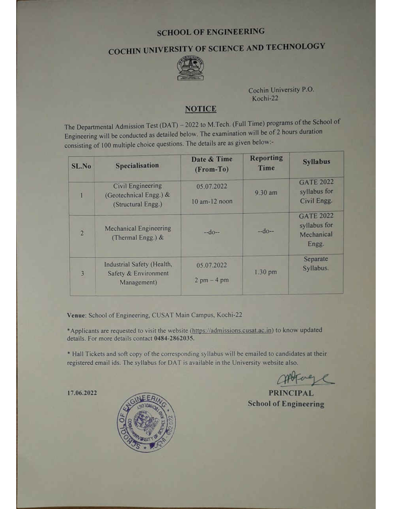# **SCHOOL OF ENGINEERING**

# COCHIN UNIVERSITY OF SCIENCE AND TECHNOLOGY



Cochin University P.O. Kochi-22

## **NOTICE**

The Departmental Admission Test (DAT) - 2022 to M.Tech. (Full Time) programs of the School of Engineering will be conducted as detailed below. The examination will be of 2 hours duration consisting of 100 multiple choice questions. The details are as given below:-

| SL.No          | <b>Specialisation</b>                                                    | Date & Time<br>(From-To)     | <b>Reporting</b><br>Time | <b>Syllabus</b>                                         |
|----------------|--------------------------------------------------------------------------|------------------------------|--------------------------|---------------------------------------------------------|
|                | <b>Civil Engineering</b><br>(Geotechnical Engg.) &<br>(Structural Engg.) | 05.07.2022<br>10 am-12 noon  | 9.30 am                  | <b>GATE 2022</b><br>syllabus for<br>Civil Engg.         |
| $\overline{2}$ | <b>Mechanical Engineering</b><br>(Thermal Engg.) &                       | $-d0-$                       | $-d0-$                   | <b>GATE 2022</b><br>syllabus for<br>Mechanical<br>Engg. |
| $\overline{3}$ | Industrial Safety (Health,<br>Safety & Environment<br>Management)        | 05.07.2022<br>$2$ pm $-4$ pm | $1.30$ pm                | Separate<br>Syllabus.                                   |

Venue: School of Engineering, CUSAT Main Campus, Kochi-22

\*Applicants are requested to visit the website (https://admissions.cusat.ac.in) to know updated details. For more details contact 0484-2862035.

\* Hall Tickets and soft copy of the corresponding syllabus will be emailed to candidates at their registered email ids. The syllabus for DAT is available in the University website also.

**PRINCIPAL School of Engineering** 

17.06.2022

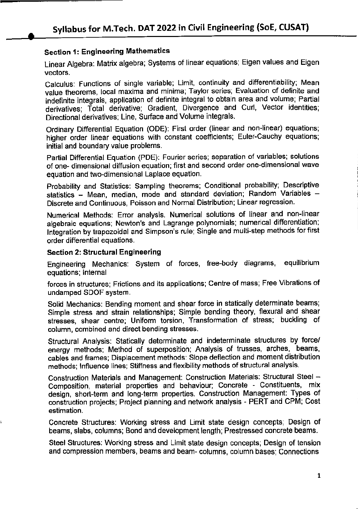# Section 1: Engineering Mathematics

Linear Algebra: Matrix algebra; Systems of linear equations; Eigen values and Eigen vectors.

Calculus: Functions of single variable; Limit, continuity and differentiability; Mean value theorems, local maxima and minima; Taylor series; Evaluation of definite and indefinite integrals, application of definite integral to obtain area and volume; Partial derivatives; Total derivative; Gradient, Divergence and Curl, Vector identities; Directional derivatives; Line, Surface and Volume integrals.

Ordinary Differential Equation (ODE): First order (linear and non-linear) equations; higher order linear equations with constant coefficients; Euler-Cauchy equations; initial and boundary value problems.

Partial Differential Equation (PDE): Fourier series; separation of variables; solutions of one- dimensional diffusion equation; first and second order one-dimensional wave equation and two-dimensional Laplace equation.

Probability and Statistics: Sampling theorems; Conditional probability; Descriptive statistics - Mean, median, mode and standard deviation; Random Variables -Discrete and Continuous, Poisson and Normal Distribution; Linear regression.

Numerical Methods: Error analysis. Numerical solutions of linear and non-linear algebraic equations; Newton's and Lagrange polynomials; numerical differentiation; Integration by trapezoidal and Simpson's rule; Single and multi-step methods for first order differential equations.

## Section 2: Structural Engineering

Engineering Mechanics: System of forces, free-body diagrams, equilibrium equations; Internal

forces in structures; Frictions and its applications; Centre of mass; Free Vibrations of undamped SDOF system.

Solid Mechanics: Bending moment and shear force in statically determinate beams; Simple stress and strain relationships; Simple bending theory, flexural and shear stresses, shear centre; Uniform torsion. Transformation of stress; buckling of column, combined and direct bending stresses.

Structural Analysis: Statically determinate and indeterminate structures by force/ energy methods; Method of superposition; Analysis of trusses, arches, beams, cables and frames; Displacement methods: Slope deflection and moment distribution methods; Influence lines; Stiffness and flexibility methods of structural analysis.

Construction Materials and Management: Construction Materials: Structural Steel -Composition, material properties and behaviour; Concrete - Constituents, mix design, short-term and long-term properties. Construction Management: Types of construction projects; Project planning and network analysis - PERT and CPM; Cost estimation.

Concrete Structures: Working stress and Limit state design concepts; Design of beams, slabs, columns; Bond and development length; Prestressed concrete beams.

Steel Structures: Working stress and Limit state design concepts; Design of tension and compression members, beams and beam- columns, column bases; Connections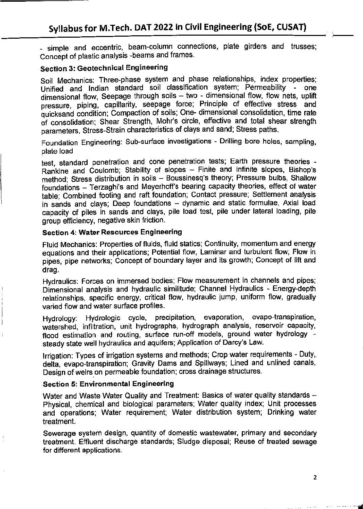- simple and eccentric, beam-column connections, plate girders and trusses; Concept of plastic analysis -beams and frames.

# Section 3: Geotechnical Engineering

Soil Mechanics: Three-phase system and phase relationships, index properties; Unified and Indian standard soil classification system; Permeability - one dimensional flow. Seepage through soils  $-$  two  $-$  dimensional flow, flow nets, uplift pressure, piping, capillarity, seepage force; Principle of effective stress and quicksand condition; Compaction of soils; One- dimensional consolidation, time rate of consolidation; Shear Strength, Mohr's circle, effective and total shear strength parameters, Stress-Strain characteristics of clays and sand; Stress paths.

Foundation Engineering: Sub-surface investigations - Drilling bore holes, sampling, plate load

test, standard penetration and cone penetration tests; Earth pressure theories - Rankine and Coulomb; Stability of slopes - Finite and infinite slopes. Bishop's method; Stress distribution in soils - Boussinesq's theory; Pressure bulbs. Shallow foundations - Terzaghi's and Meyerhoff's bearing capacity theories, effect of water table; Combined footing and raft foundation; Contact pressure; Settlement analysis in sands and clays; Deep foundations - dynamic and static formulae, Axial load capacity of piles in sands and clays, pile load test, pile under lateral loading, pile group efficiency, negative skin friction.

#### Section 4: Water Resources Engineering

Fluid Mechanics: Properties of fluids, fluid statics; Continuity, momentum and energy equations and their applications; Potential flow. Laminar and turbulent flow; Flow in pipes, pipe networks; Concept of boundary layer and its growth; Concept of lift and drag.

Hydraulics: Forces on immersed bodies; Flow measurement in channels and pipes; Dimensional analysis and hydraulic similitude; Channel Hydraulics - Energy-depth relationships, specific energy, critical flow, hydraulic jump, uniform flow, gradually varied flow and water surface profiles.

Hydrology: Hydrologic cycle, precipitation, evaporation, evapo-transpiration, watershed, infiltration, unit hydrographs, hydrograph analysis, reservoir capacity, flood estimation and routing, surface run-off models, ground water hydrology steady state well hydraulics and aquifers; Application of Darcy's Law.

Irrigation: Types of irrigation systems and methods; Crop water requirements - Duty,, delta, evapo-transpiration; Gravity Dams and Spillways; Lined and unlined canals. Design of weirs on permeable foundation; cross drainage structures.

## Section 5: Environmental Engineering

Water and Waste Water Quality and Treatment: Basics of water quality standards --Physical, chemical and biological parameters; Water quality index; Unit processes and operations; Water requirement; Water distribution system; Drinking water treatment.

Sewerage system design, quantity of domestic wastewater, primary and secondary treatment. Effluent discharge standards; Sludge disposal; Reuse of treated sewage for different applications.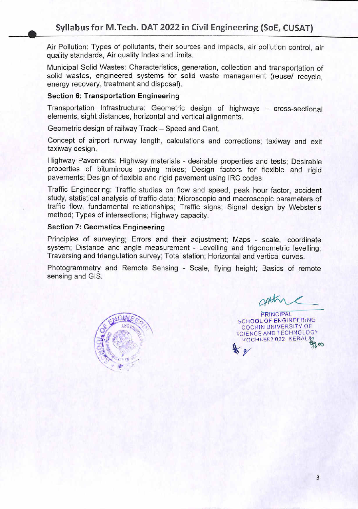Air Pollution: Types of pollutants, their sources and impacts, air pollution control, air quality standards, Air quality Index and limits.

Municipal Solid Wastes: Characteristics, generation, collection and transportation of solid wastes, engineered systems for solid waste management (reuse/ recycle, energy recovery, treatment and disposal).

## Section 6: Transportation Engineering

Transportation Infrastructure: Geometric design of highways - cross-sectional elements, sight distances, horizontal and vertical alignments.

Geometric design of railway Track - Speed and Cant.

Concept of airport runway length, calculations and corrections; taxiway and exit taxiway design.

Highway Pavements: Highway materials - desirable properties and tests; Desirable properties of bituminous paving mixes; Design factors for flexible and rigid pavements; Design of flexible and rigid pavement using IRC codes

Traffic Engineering: Traffic studies on flow and speed, peak hour factor, accident study, statistical analysis of traffic data; Microscopic and macroscopic parameters of traffic flow, fundamental relationships; Traffic signs; Signal design by Webster's method; Types of intersections; Highway capacity.

# Section 7: Geomatics Engineering

Principles of surveying: Errors and their adjustment; Maps - scale, coordinate system: Distance and angle measurement - Levelling and trigonometric levelling: Traversing and triangulation survey; Total station; Horizontal and vertical curves.

Photogrammetry and Remote Sensing - Scale, flying height; Basics of remote sensing and GIS.



V rPRINCIPAL **SCHOOL OF ENGINEERING** COCHIN UNIVERSITY OF **SCIENCE AND TECHNOLOGY** KOCHI-682 022 KERAL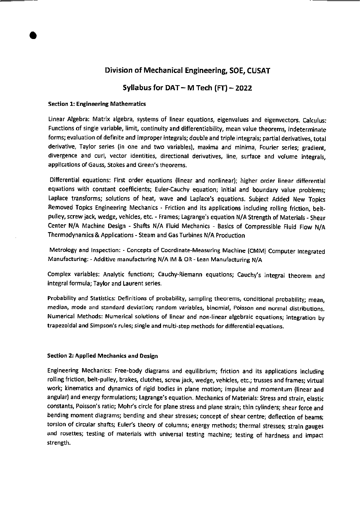# Division of Mechanical Engineering, SOE, CUSAT

# Syllabus for  $DAT - M$  Tech  $(FT) - 2022$

#### Section 1: Engineering Mathematics

Linear Algebra: Matrix algebra, systems of linear equations, eigenvalues and eigenvectors. Calculus: Functions of single variable, limit, continuity and differentiability, mean value theorems, indeterminate forms; evaluation of definite and improper integrals; double and triple integrals; partial derivatives, total derivative, Taylor series {in one and two variables), maxima and minima, Fourier series; gradient, divergence and curl, vector identities, directional derivatives, line, surface and volume integrals, applications of Gauss, Stokes and Green's theorems.

Differential equations: First order equations (linear and nonlinear); higher order linear differential equations with constant coefficients; Euler-Cauchy equation; initial and boundary value problems; Laplace transforms; solutions of heat, wave and Laplace's equations. Subject Added New Topics Removed Topics Engineering Mechanics - Friction and its applications including rolling friction, beltpulley, screw jack, wedge, vehicles, etc. - Frames; Lagrange's equation N/A Strength of Materials - Shear Center N/A Machine Design - Shafts N/A Fluid Mechanics - Basics of Compressible Fluid Flow N/A Thermodynamics & Applications - Steam and Gas Turbines N/A Production

Metrology and Inspection: - Concepts of Coordinate-Measuring Machine (CMM) Computer Integrated Manufacturing: - Additive manufacturing N/A IM & OR - Lean Manufacturing N/A

Complex variables: Analytic functions; Cauchy-Riemann equations; Cauchy's integral theorem and integral formula; Taylor and Laurent series.

Probability and Statistics: Definitions of probability, sampling theorems, conditional probability; mean, median, mode and standard deviation; random variables, binomial, Poisson and normal distributions. Numerical Methods: Numerical solutions of linear and non-linear algebraic equations; integration by trapezoidal and Simpson's rules; single and multi-step methods for differential equations.

#### Section 2: Applied Mechanics and Design

Engineering Mechanics: Free-body diagrams and equilibrium; friction and its applications including rolling friction, belt-pulley, brakes, clutches, screw jack, wedge, vehicles, etc.; trusses and frames; virtual work; kinematics and dynamics of rigid bodies in plane motion; impulse and momentum (linear and angular) and energy formulations; Lagrange's equation. Mechanics of Materials: Stress and strain, elastic constants, Poisson's ratio; Mohr's circle for plane stress and plane strain; thin cylinders; shear force and bending moment diagrams; bending and shear stresses; concept of shear centre; deflection of beams; torsion of circular shafts; Euler's theory of columns; energy methods; thermal stresses; strain gauges and rosettes; testing of materials with universal testing machine; testing of hardness and impact strength.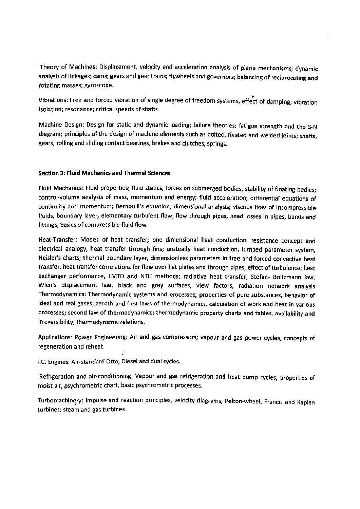Theory of Machines: Displacement, velocity and acceleration analysis of plane mechanisms; dynamic analysis of linkages; cams; gears and gear trains; flywheels and governors; balancing of reciprocating and rotating masses; gyroscope.

Vibrations: Free and forced vibration of single degree of freedom systems, effect of damping; vibration isolation; resonance; critical speeds of shafts.

Machine Design: Design for static and dynamic loading; failure theories; fatigue strength and the S-N diagram; principles of the design of machine elements such as bolted, riveted and welded joints; shafts, gears, rolling and sliding contact bearings, brakes and clutches, springs.

#### Section 3: Fluid Mechanics and Thermal Sciences

Fluid Mechanics: Fluid properties; fluid statics, forces on submerged bodies, stability of floating bodies; control-volume analysis of mass, momentum and energy; fluid acceleration; differential equations of continuity and momentum; Bernoulli's equation; dimensional analysis; viscous flow of incompressible fluids, boundary layer, elementary turbulent flow, flow through pipes, head losses in pipes, bends and fittings; basics of compressible fluid flow.

Heat-Transfer: Modes of heat transfer; one dimensional heat conduction, resistance concept and electrical analogy, heat transfer through fins; unsteady heat conduction, lumped parameter system, Heisler's charts; thermal boundary layer, dimensionless parameters in free and forced convective heat transfer, heat transfer correlations for flow over flat plates and through pipes, effect of turbulence; heat exchanger performance, LMTD and NTU methods; radiative heat transfer, Stefan- Boltzmann law, Wien's displacement law, black and grey surfaces, view factors, radiation network analysis Thermodynamics: Thermodynamic systems and processes; properties of pure substances, behavior of ideal and real gases; zeroth and first laws of thermodynamics, calculation of work and heat in various processes; second law of thermodynamics; thermodynamic property charts and tables, availability and irreversibility; thermodynamic relations.

Applications: Power Engineering: Air and gas compressors; vapour and gas power cycles, concepts of regeneration and reheat.

I.C. Engines: Air-standard Otto, Diesel and dual cycles.

• 4

Refrigeration and air-conditioning: Vapour and gas refrigeration and heat pump cycles; properties of moist air, psychrometric chart, basic psychrometric processes.

Turbomachinery: Impulse and reaction principles, velocity diagrams, Pelton-wheel, Francis and Kaplan turbines; steam and gas turbines.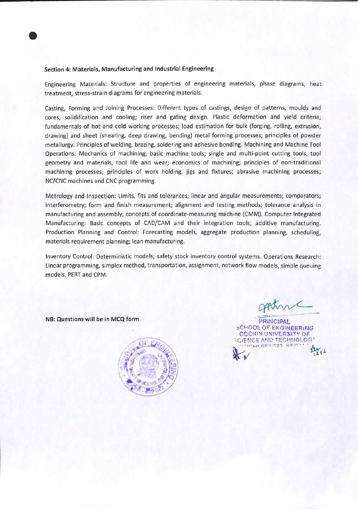#### Section 4: Materials, Manufacturing and Industrial Engineering

Engineering Materials: Structure and properties of engineering materials, phase diagrams, heat treatment, stress-strain diagrams for engineering materials.

Casting, Forming and Joining Processes: Different types of castings, design of patterns, moulds and cores; solidification and cooling; riser and gating design. Plastic deformation and yield criteria; fundamentals of hot and cold working processes; load estimation for bulk (forging, rolling, extrusion, drawing) and sheet (shearing, deep drawing, bending) metal forming processes; principles of powder metallurgy. Principles of welding, brazing, soldering and adhesive bonding. Machining and Machine Tool Operations: Mechanics of machining; basic machine tools; single and multi-point cutting tools, tool geometry and materials, tool life and wear; economics of machining; principles of non-traditional machining processes; principles of work holding, jigs and fixtures; abrasive machining processes; NC/CNC machines and CNC programming.

Metrology and Inspection: Limits, fits and tolerances; linear and angular measurements; comparators; interferometry; form and finish measurement; alignment and testing methods; tolerance analysis in manufacturing and assembly; concepts of coordinate-measuring machine (CMM). Computer Integrated Manufacturing; Basic concepts of CAD/CAM and their integration tools; additive manufacturing. Production Planning and Control: Forecasting models, aggregate production planning, scheduling, materials requirement planning; lean manufacturing.

Inventory Control: Deterministic models; safety stock inventory control systems. Operations Research: Linear programming, simplex method, transportation, assignment, network flow models, simple queuing models, PERT and CPM.

NB: Questions will be in MCQ form



PRINCIPAL SCHOOL OF ENGINEERING COCHIN university OF CIENCE AND TECHNOLOG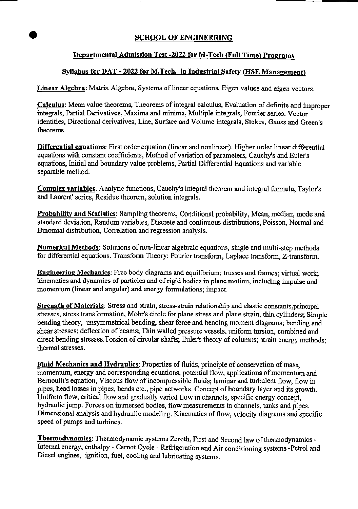# **SCHOOL OF ENGINEERING**

# Departmental Admission Test -2022 for M-Tech (Full Time) Programs

## Syllabus for DAT - 2022 for M.Tech. in Industrial Safety (HSE Management)

Linear Algebra: Matrix Algebra, Systems of linear equations, Eigen values and eigen vectors.

Calculus: Mean value theorems. Theorems of integral calculus. Evaluation of definite and improper integrals, Partial Derivatives, Maxima and minima. Multiple integrals, Fourier series. Vector identities. Directional derivatives. Line, Surface and Volume integrals. Stokes, Gauss and Green's theorems.

Differential equations: First order equation (linear and nonlinear). Higher order linear differential equations with constant coefficients. Method of variation of parameters, Cauchy's and Euler's equations. Initial and boundary value problems. Partial Differential Equations and variable separable method.

Complex variables: Analytic fimctions, Cauchy's integral theorem and integral formula, Taylor's and Laurent' series. Residue theorem, solution integrals.

Probability and Statistics: Sampling theorems, Conditional probability, Mean, median, mode and standard deviation. Random variables. Discrete and continuous distributions, Poisson, Normal and Binomial distribution. Correlation and regression analysis.

Numerical Methods: Solutions of non-linear algebraic equations, single and multi-step methods for differential equations. Transform Theory: Fourier transform, Laplace transform, Z-transform.

**Engineering Mechanics**: Free body diagrams and equilibrium; trusses and frames; virtual work; kinematics and dynamics of particles and of rigid bodies in plane motion, including impulse and momentum (linear and angular) and energy formulations; impact.

Strength of Materials: Stress and strain, stress-strain relationship and elastic constants,principal stresses, stress transformation, Mohr's circle for plane stress and plane strain, thin cylinders; Simple bending theory, unsymmetrical bending, shear force and bending moment diagrams; bending and shear stresses; deflection of beams; Thin walled pressure vessels, uniform torsion, combined and direct bending stresses.Torsion of circular shafts; Euler's theory of columns; strain energy methods; thermal stresses.

Fluid Mechanics and Hydraulics: Properties of fluids, principle of conservation of mass, momentum, energy and corresponding equations, potential flow, applications of momentum and Bernoulli's equation. Viscous flow of incompressible fluids; laminar and turbulent flow, flow in pipes, head losses in pipes, bends etc., pipe networks. Concept of boundary layer and its growth. Uniform flow, critical flow and gradually varied flow in channels, specific energy concept, hydraulic jump. Forces on immersed bodies, flow measurements in channels, tanks and pipes. Dimensional analysis and hydraulic modeling. Kinematics of flow, velocity diagrams and specific speed of pumps and turbines.

Thermodynamics: Thermodynamic systems Zeroth, First and Second law of thermodynamics - Internal energy, enthalpy - Camot Cycle - Refrigeration and Air conditioning systems -Petrol and Diesel engines, ignition, fuel, cooling and lubricating systems.